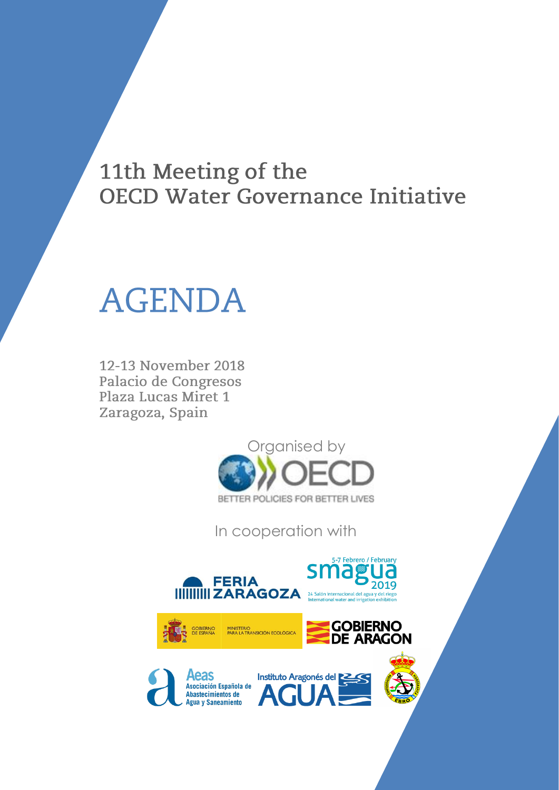## 11th Meeting of the **OECD Water Governance Initiative**

# **AGENDA**

12-13 November 2018 Palacio de Congresos Plaza Lucas Miret 1 Zaragoza, Spain



In cooperation with



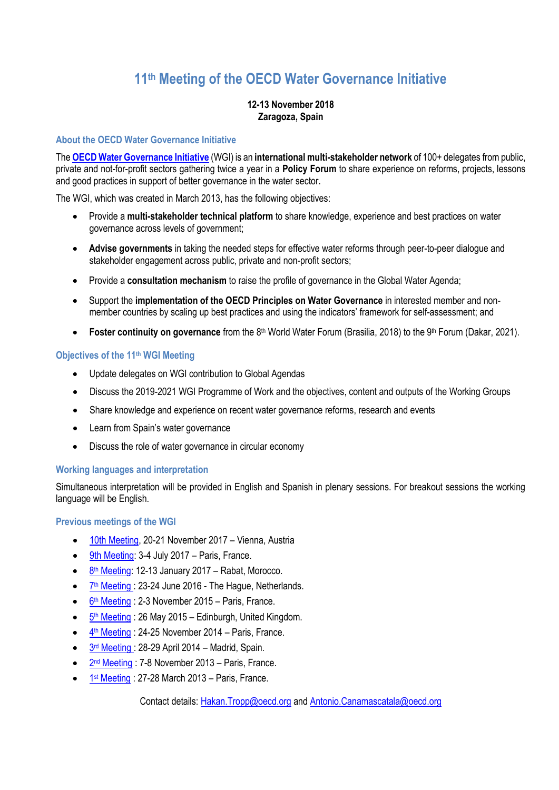### **11th Meeting of the OECD Water Governance Initiative**

#### **12-13 November 2018 Zaragoza, Spain**

#### **About the OECD Water Governance Initiative**

The **[OECD Water Governance Initiative](http://www.oecd.org/gov/regional-policy/OECD-WGI-Brochure.pdf)** (WGI) is an **international multi-stakeholder network** of 100+ delegates from public, private and not-for-profit sectors gathering twice a year in a **Policy Forum** to share experience on reforms, projects, lessons and good practices in support of better governance in the water sector.

The WGI, which was created in March 2013, has the following objectives:

- Provide a **multi-stakeholder technical platform** to share knowledge, experience and best practices on water governance across levels of government;
- **Advise governments** in taking the needed steps for effective water reforms through peer-to-peer dialogue and stakeholder engagement across public, private and non-profit sectors;
- Provide a **consultation mechanism** to raise the profile of governance in the Global Water Agenda;
- Support the **implementation of the OECD Principles on Water Governance** in interested member and nonmember countries by scaling up best practices and using the indicators' framework for self-assessment; and
- **Foster continuity on governance** from the 8<sup>th</sup> World Water Forum (Brasilia, 2018) to the 9<sup>th</sup> Forum (Dakar, 2021).

#### **Objectives of the 11th WGI Meeting**

- Update delegates on WGI contribution to Global Agendas
- Discuss the 2019-2021 WGI Programme of Work and the objectives, content and outputs of the Working Groups
- Share knowledge and experience on recent water governance reforms, research and events
- Learn from Spain's water governance
- Discuss the role of water governance in circular economy

#### **Working languages and interpretation**

Simultaneous interpretation will be provided in English and Spanish in plenary sessions. For breakout sessions the working language will be English.

#### **Previous meetings of the WGI**

- [10th Meeting,](http://www.oecd.org/regional/regional-policy/10th-meeting-of-the-oecd-water-governance-initiative.htm) 20-21 November 2017 Vienna, Austria
- [9th Meeting:](http://www.oecd.org/cfe/regional-policy/9thmeetingoftheoecdwatergovernanceinitiative.htm) 3-4 July 2017 Paris, France.
- 8<sup>th</sup> [Meeting:](http://www.oecd.org/gov/regional-policy/8thmeetingoftheoecdwatergovernanceinitiative.htm) 12-13 January 2017 Rabat, Morocco.
- 7<sup>th</sup> [Meeting](http://www.oecd.org/gov/regional-policy/water-governance-initiative-meeting-7.htm): 23-24 June 2016 The Hague, Netherlands.
- 6<sup>th</sup> [Meeting](http://www.oecd.org/gov/regional-policy/water-governance-initiative-meeting-6.htm) : 2-3 November 2015 Paris, France.
- 5<sup>th</sup> [Meeting](http://www.oecd.org/gov/regional-policy/water-governance-initiative-meeting-5.htm): 26 May 2015 Edinburgh, United Kingdom.
- $\frac{4^{\text{th}} \text{ Meeting}}{4^{\text{th}} \text{ Meeting}}$  $\frac{4^{\text{th}} \text{ Meeting}}{4^{\text{th}} \text{ Meeting}}$  $\frac{4^{\text{th}} \text{ Meeting}}{4^{\text{th}} \text{ Meeting}}$ : 24-25 November 2014 Paris, France.
- $\bullet$   $3<sup>rd</sup>$  [Meeting](http://www.oecd.org/governance/regional-policy/water-governance-initiative-meeting-3.htm): 28-29 April 2014 Madrid, Spain.
- 2<sup>nd</sup> [Meeting](http://www.oecd.org/governance/regional-policy/water-governance-initiative-meeting-2.htm): 7-8 November 2013 Paris, France.
- $\bullet$  1<sup>st</sup> [Meeting](http://www.oecd.org/gov/regional-policy/water-governance-initiative-meeting-1.htm) : 27-28 March 2013 Paris, France.

Contact details: [Hakan.Tropp@oecd.org](mailto:Hakan.Tropp@oecd.org) and [Antonio.Canamascatala@oecd.org](mailto:Antonio.Canamascatala@oecd.org)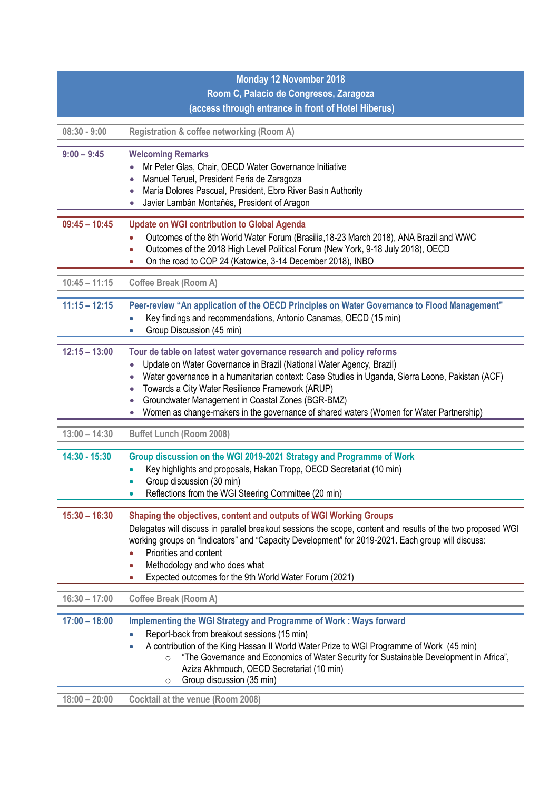| <b>Monday 12 November 2018</b> |                                                                                                                                                                                                                                                                                                                                                                                                                                                      |
|--------------------------------|------------------------------------------------------------------------------------------------------------------------------------------------------------------------------------------------------------------------------------------------------------------------------------------------------------------------------------------------------------------------------------------------------------------------------------------------------|
|                                | Room C, Palacio de Congresos, Zaragoza                                                                                                                                                                                                                                                                                                                                                                                                               |
|                                | (access through entrance in front of Hotel Hiberus)                                                                                                                                                                                                                                                                                                                                                                                                  |
| $08:30 - 9:00$                 | Registration & coffee networking (Room A)                                                                                                                                                                                                                                                                                                                                                                                                            |
| $9:00 - 9:45$                  | <b>Welcoming Remarks</b><br>Mr Peter Glas, Chair, OECD Water Governance Initiative<br>Manuel Teruel, President Feria de Zaragoza<br>$\bullet$<br>María Dolores Pascual, President, Ebro River Basin Authority<br>Javier Lambán Montañés, President of Aragon                                                                                                                                                                                         |
| $09:45 - 10:45$                | <b>Update on WGI contribution to Global Agenda</b><br>Outcomes of the 8th World Water Forum (Brasilia, 18-23 March 2018), ANA Brazil and WWC<br>Outcomes of the 2018 High Level Political Forum (New York, 9-18 July 2018), OECD<br>$\bullet$<br>On the road to COP 24 (Katowice, 3-14 December 2018), INBO                                                                                                                                          |
| $10:45 - 11:15$                | <b>Coffee Break (Room A)</b>                                                                                                                                                                                                                                                                                                                                                                                                                         |
| $11:15 - 12:15$                | Peer-review "An application of the OECD Principles on Water Governance to Flood Management"<br>Key findings and recommendations, Antonio Canamas, OECD (15 min)<br>$\bullet$<br>Group Discussion (45 min)<br>$\bullet$                                                                                                                                                                                                                               |
| $12:15 - 13:00$                | Tour de table on latest water governance research and policy reforms<br>Update on Water Governance in Brazil (National Water Agency, Brazil)<br>Water governance in a humanitarian context: Case Studies in Uganda, Sierra Leone, Pakistan (ACF)<br>Towards a City Water Resilience Framework (ARUP)<br>Groundwater Management in Coastal Zones (BGR-BMZ)<br>Women as change-makers in the governance of shared waters (Women for Water Partnership) |
| $13:00 - 14:30$                | <b>Buffet Lunch (Room 2008)</b>                                                                                                                                                                                                                                                                                                                                                                                                                      |
| 14:30 - 15:30                  | Group discussion on the WGI 2019-2021 Strategy and Programme of Work<br>Key highlights and proposals, Hakan Tropp, OECD Secretariat (10 min)<br>Group discussion (30 min)<br>$\bullet$<br>Reflections from the WGI Steering Committee (20 min)<br>$\bullet$                                                                                                                                                                                          |
| $15:30 - 16:30$                | Shaping the objectives, content and outputs of WGI Working Groups<br>Delegates will discuss in parallel breakout sessions the scope, content and results of the two proposed WGI<br>working groups on "Indicators" and "Capacity Development" for 2019-2021. Each group will discuss:<br>Priorities and content<br>Methodology and who does what<br>Expected outcomes for the 9th World Water Forum (2021)                                           |
| $16:30 - 17:00$                | <b>Coffee Break (Room A)</b>                                                                                                                                                                                                                                                                                                                                                                                                                         |
| $17:00 - 18:00$                | <b>Implementing the WGI Strategy and Programme of Work: Ways forward</b><br>Report-back from breakout sessions (15 min)<br>A contribution of the King Hassan II World Water Prize to WGI Programme of Work (45 min)<br>$\bullet$<br>"The Governance and Economics of Water Security for Sustainable Development in Africa",<br>$\circ$<br>Aziza Akhmouch, OECD Secretariat (10 min)<br>Group discussion (35 min)<br>$\circ$                          |
| $18:00 - 20:00$                | <b>Cocktail at the venue (Room 2008)</b>                                                                                                                                                                                                                                                                                                                                                                                                             |